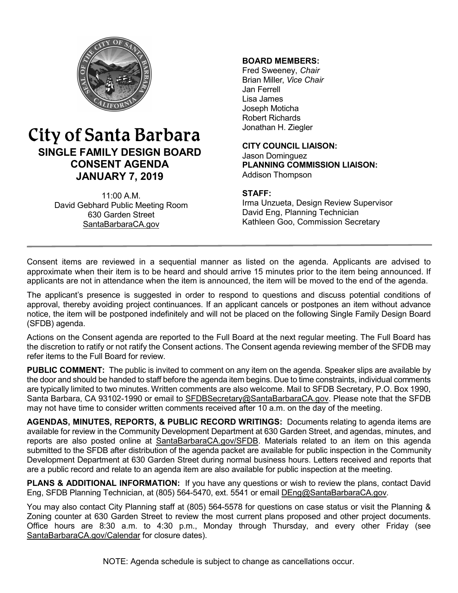

# City of Santa Barbara **SINGLE FAMILY DESIGN BOARD CONSENT AGENDA JANUARY 7, 2019**

11:00 A.M. David Gebhard Public Meeting Room 630 Garden Street [SantaBarbaraCA.gov](http://www.santabarbaraca.gov/)

### **BOARD MEMBERS:**

Fred Sweeney, *Chair* Brian Miller, *Vice Chair* Jan Ferrell Lisa James Joseph Moticha Robert Richards Jonathan H. Ziegler

**CITY COUNCIL LIAISON:** Jason Dominguez **PLANNING COMMISSION LIAISON:** Addison Thompson

### **STAFF:**

Irma Unzueta, Design Review Supervisor David Eng, Planning Technician Kathleen Goo, Commission Secretary

Consent items are reviewed in a sequential manner as listed on the agenda. Applicants are advised to approximate when their item is to be heard and should arrive 15 minutes prior to the item being announced. If applicants are not in attendance when the item is announced, the item will be moved to the end of the agenda.

The applicant's presence is suggested in order to respond to questions and discuss potential conditions of approval, thereby avoiding project continuances. If an applicant cancels or postpones an item without advance notice, the item will be postponed indefinitely and will not be placed on the following Single Family Design Board (SFDB) agenda.

Actions on the Consent agenda are reported to the Full Board at the next regular meeting. The Full Board has the discretion to ratify or not ratify the Consent actions. The Consent agenda reviewing member of the SFDB may refer items to the Full Board for review.

**PUBLIC COMMENT:** The public is invited to comment on any item on the agenda. Speaker slips are available by the door and should be handed to staff before the agenda item begins. Due to time constraints, individual comments are typically limited to two minutes. Written comments are also welcome. Mail to SFDB Secretary, P.O. Box 1990, Santa Barbara, CA 93102-1990 or email to [SFDBSecretary@SantaBarbaraCA.gov](mailto:SFDBSecretary@SantaBarbaraCA.gov). Please note that the SFDB may not have time to consider written comments received after 10 a.m. on the day of the meeting.

**AGENDAS, MINUTES, REPORTS, & PUBLIC RECORD WRITINGS:** Documents relating to agenda items are available for review in the Community Development Department at 630 Garden Street, and agendas, minutes, and reports are also posted online at [SantaBarbaraCA.gov/SFDB](http://www.santabarbaraca.gov/gov/brdcomm/nz/sfdb/agendas.asp). Materials related to an item on this agenda submitted to the SFDB after distribution of the agenda packet are available for public inspection in the Community Development Department at 630 Garden Street during normal business hours. Letters received and reports that are a public record and relate to an agenda item are also available for public inspection at the meeting.

**PLANS & ADDITIONAL INFORMATION:** If you have any questions or wish to review the plans, contact David Eng, SFDB Planning Technician, at (805) 564-5470, ext. 5541 or email [DEng@SantaBarbaraCA.gov.](mailto:DEng@SantaBarbaraCA.gov)

You may also contact City Planning staff at (805) 564-5578 for questions on case status or visit the Planning & Zoning counter at 630 Garden Street to review the most current plans proposed and other project documents. Office hours are 8:30 a.m. to 4:30 p.m., Monday through Thursday, and every other Friday (see [SantaBarbaraCA.gov/Calendar](http://www.santabarbaraca.gov/cals/default.asp) for closure dates).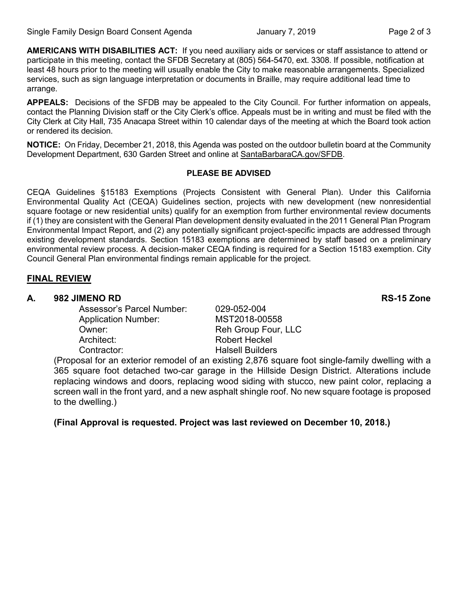**AMERICANS WITH DISABILITIES ACT:** If you need auxiliary aids or services or staff assistance to attend or participate in this meeting, contact the SFDB Secretary at (805) 564-5470, ext. 3308. If possible, notification at least 48 hours prior to the meeting will usually enable the City to make reasonable arrangements. Specialized services, such as sign language interpretation or documents in Braille, may require additional lead time to arrange.

**APPEALS:** Decisions of the SFDB may be appealed to the City Council. For further information on appeals, contact the Planning Division staff or the City Clerk's office. Appeals must be in writing and must be filed with the City Clerk at City Hall, 735 Anacapa Street within 10 calendar days of the meeting at which the Board took action or rendered its decision.

**NOTICE:** On Friday, December 21, 2018, this Agenda was posted on the outdoor bulletin board at the Community Development Department, 630 Garden Street and online at [SantaBarbaraCA.gov/SFDB](http://www.santabarbaraca.gov/gov/brdcomm/nz/sfdb/agendas.asp).

#### **PLEASE BE ADVISED**

CEQA Guidelines §15183 Exemptions (Projects Consistent with General Plan). Under this California Environmental Quality Act (CEQA) Guidelines section, projects with new development (new nonresidential square footage or new residential units) qualify for an exemption from further environmental review documents if (1) they are consistent with the General Plan development density evaluated in the 2011 General Plan Program Environmental Impact Report, and (2) any potentially significant project-specific impacts are addressed through existing development standards. Section 15183 exemptions are determined by staff based on a preliminary environmental review process. A decision-maker CEQA finding is required for a Section 15183 exemption. City Council General Plan environmental findings remain applicable for the project.

### **FINAL REVIEW**

### **A. 982 JIMENO RD RS-15 Zone**

Assessor's Parcel Number: 029-052-004 Application Number: MST2018-00558 Owner: Communication of the Reh Group Four, LLC Architect: Robert Heckel Contractor: Contractor: Halsell Builders

(Proposal for an exterior remodel of an existing 2,876 square foot single-family dwelling with a 365 square foot detached two-car garage in the Hillside Design District. Alterations include replacing windows and doors, replacing wood siding with stucco, new paint color, replacing a screen wall in the front yard, and a new asphalt shingle roof. No new square footage is proposed to the dwelling.)

**(Final Approval is requested. Project was last reviewed on December 10, 2018.)**